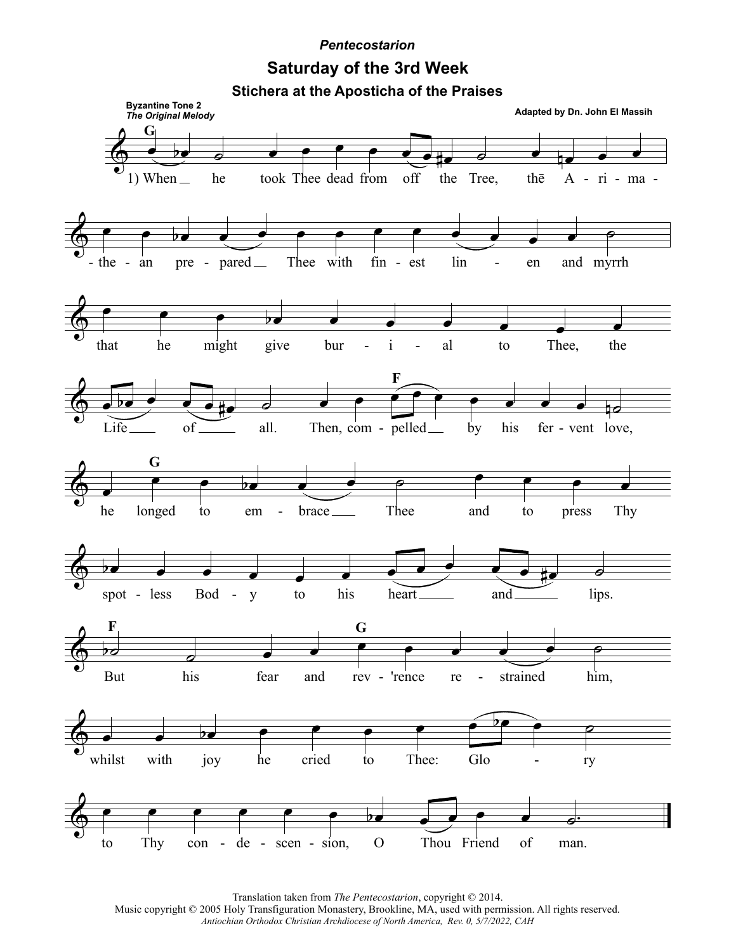## *Pentecostarion*

## **Saturday of the 3rd Week**





Translation taken from *The Pentecostarion*, copyright © 2014.

Music copyright © 2005 Holy Transfiguration Monastery, Brookline, MA, used with permission. All rights reserved. *Antiochian Orthodox Christian Archdiocese of North America, Rev. 0, 5/7/2022, CAH*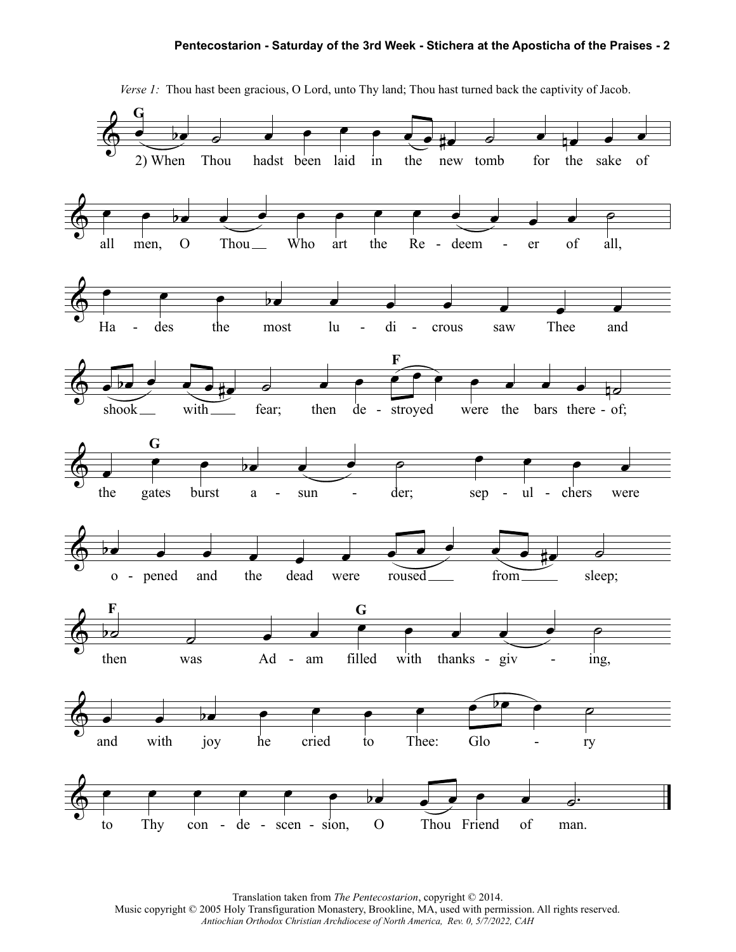## **Pentecostarion - Saturday of the 3rd Week - Stichera at the Aposticha of the Praises - 2**



*Verse 1:* Thou hast been gracious, O Lord, unto Thy land; Thou hast turned back the captivity of Jacob.

Translation taken from *The Pentecostarion*, copyright © 2014. Music copyright © 2005 Holy Transfiguration Monastery, Brookline, MA, used with permission. All rights reserved. *Antiochian Orthodox Christian Archdiocese of North America, Rev. 0, 5/7/2022, CAH*